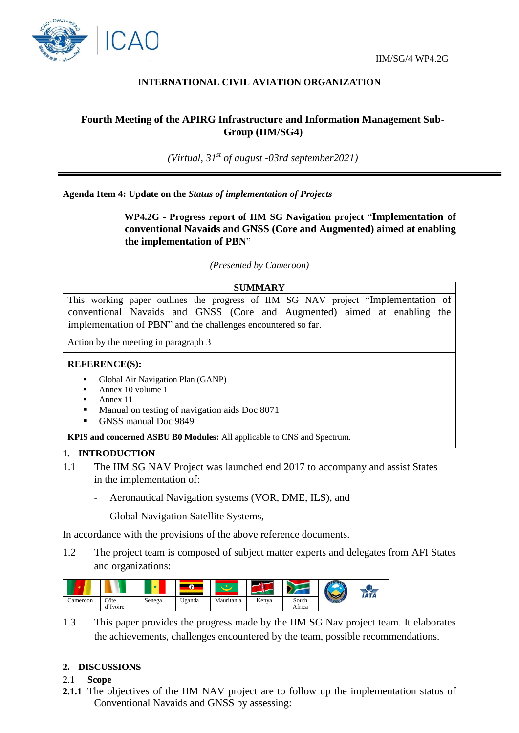

# **INTERNATIONAL CIVIL AVIATION ORGANIZATION**

# **Fourth Meeting of the APIRG Infrastructure and Information Management Sub-Group (IIM/SG4)**

*(Virtual, 31st of august -03rd september2021)*

**Agenda Item 4: Update on the** *Status of implementation of Projects*

**WP4.2G - Progress report of IIM SG Navigation project "Implementation of conventional Navaids and GNSS (Core and Augmented) aimed at enabling the implementation of PBN**"

*(Presented by Cameroon)*

### **SUMMARY**

This working paper outlines the progress of IIM SG NAV project "Implementation of conventional Navaids and GNSS (Core and Augmented) aimed at enabling the implementation of PBN" and the challenges encountered so far.

Action by the meeting in paragraph 3

#### **REFERENCE(S):**

- Global Air Navigation Plan (GANP)
- Annex 10 volume 1
- Annex 11
- Manual on testing of navigation aids Doc 8071
- GNSS manual Doc 9849

**KPIS and concerned ASBU B0 Modules:** All applicable to CNS and Spectrum.

#### **1. INTRODUCTION**

- 1.1 The IIM SG NAV Project was launched end 2017 to accompany and assist States in the implementation of:
	- Aeronautical Navigation systems (VOR, DME, ILS), and
	- Global Navigation Satellite Systems,

In accordance with the provisions of the above reference documents.

1.2 The project team is composed of subject matter experts and delegates from AFI States and organizations:

|          |                  |         | m      |            |       |                 |  | w<br><b>IATA</b> |
|----------|------------------|---------|--------|------------|-------|-----------------|--|------------------|
| Cameroon | Côte<br>d'Ivoire | Senegal | Uganda | Mauritania | Kenya | South<br>Africa |  |                  |

1.3 This paper provides the progress made by the IIM SG Nav project team. It elaborates the achievements, challenges encountered by the team, possible recommendations.

#### **2. DISCUSSIONS**

- 2.1 **Scope**
- **2.1.1** The objectives of the IIM NAV project are to follow up the implementation status of Conventional Navaids and GNSS by assessing: